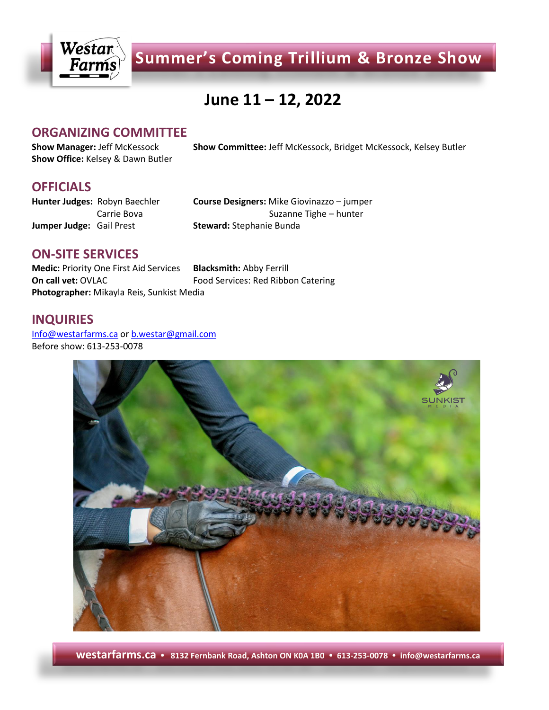

**Summer's Coming Trillium & Bronze Show**

# **June 11 – 12, 2022**

### **ORGANIZING COMMITTEE**

**Show Office:** Kelsey & Dawn Butler

**Show Manager:** Jeff McKessock **Show Committee:** Jeff McKessock, Bridget McKessock, Kelsey Butler

### **OFFICIALS**

**Jumper Judge:** Gail Prest **Steward:** Stephanie Bunda

**Hunter Judges:** Robyn Baechler **Course Designers:** Mike Giovinazzo – jumper Carrie Bova **Suzanne Tighe – hunter** Suzanne Tighe – hunter

### **ON-SITE SERVICES**

**Medic:** Priority One First Aid Services **Blacksmith:** Abby Ferrill **On call vet:** OVLAC Food Services: Red Ribbon Catering **Photographer:** Mikayla Reis, Sunkist Media

### **INQUIRIES**

[Info@westarfarms.ca](mailto:Info@westarfarms.ca) or [b.westar@gmail.com](mailto:b.westar@gmail.com) Before show: 613-253-0078



**westarfarms.ca 8132 Fernbank Road, Ashton ON K0A 1B0 613-253-0078 info@westarfarms.ca**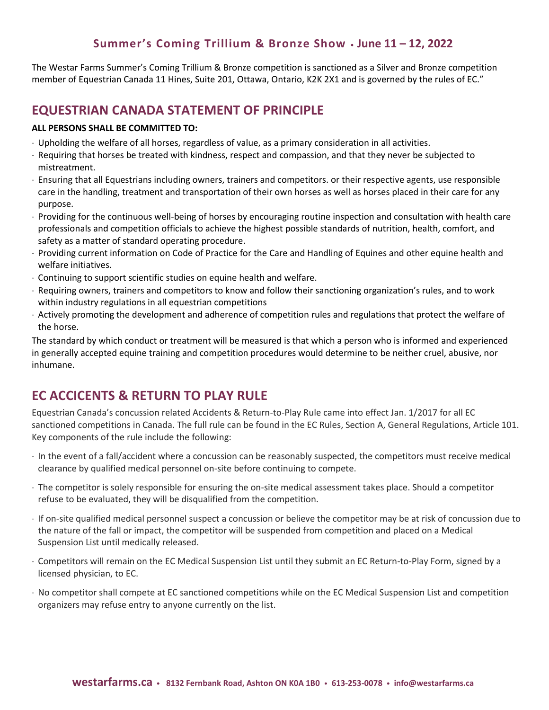The Westar Farms Summer's Coming Trillium & Bronze competition is sanctioned as a Silver and Bronze competition member of Equestrian Canada 11 Hines, Suite 201, Ottawa, Ontario, K2K 2X1 and is governed by the rules of EC."

### **EQUESTRIAN CANADA STATEMENT OF PRINCIPLE**

#### **ALL PERSONS SHALL BE COMMITTED TO:**

- Upholding the welfare of all horses, regardless of value, as a primary consideration in all activities.
- Requiring that horses be treated with kindness, respect and compassion, and that they never be subjected to mistreatment.
- Ensuring that all Equestrians including owners, trainers and competitors. or their respective agents, use responsible care in the handling, treatment and transportation of their own horses as well as horses placed in their care for any purpose.
- Providing for the continuous well-being of horses by encouraging routine inspection and consultation with health care professionals and competition officials to achieve the highest possible standards of nutrition, health, comfort, and safety as a matter of standard operating procedure.
- Providing current information on Code of Practice for the Care and Handling of Equines and other equine health and welfare initiatives.
- Continuing to support scientific studies on equine health and welfare.
- Requiring owners, trainers and competitors to know and follow their sanctioning organization's rules, and to work within industry regulations in all equestrian competitions
- Actively promoting the development and adherence of competition rules and regulations that protect the welfare of the horse.

The standard by which conduct or treatment will be measured is that which a person who is informed and experienced in generally accepted equine training and competition procedures would determine to be neither cruel, abusive, nor inhumane.

# **EC ACCICENTS & RETURN TO PLAY RULE**

Equestrian Canada's concussion related Accidents & Return-to-Play Rule came into effect Jan. 1/2017 for all EC sanctioned competitions in Canada. The full rule can be found in the EC Rules, Section A, General Regulations, Article 101. Key components of the rule include the following:

- In the event of a fall/accident where a concussion can be reasonably suspected, the competitors must receive medical clearance by qualified medical personnel on-site before continuing to compete.
- The competitor is solely responsible for ensuring the on-site medical assessment takes place. Should a competitor refuse to be evaluated, they will be disqualified from the competition.
- If on-site qualified medical personnel suspect a concussion or believe the competitor may be at risk of concussion due to the nature of the fall or impact, the competitor will be suspended from competition and placed on a Medical Suspension List until medically released.
- Competitors will remain on the EC Medical Suspension List until they submit an EC Return-to-Play Form, signed by a licensed physician, to EC.
- No competitor shall compete at EC sanctioned competitions while on the EC Medical Suspension List and competition organizers may refuse entry to anyone currently on the list.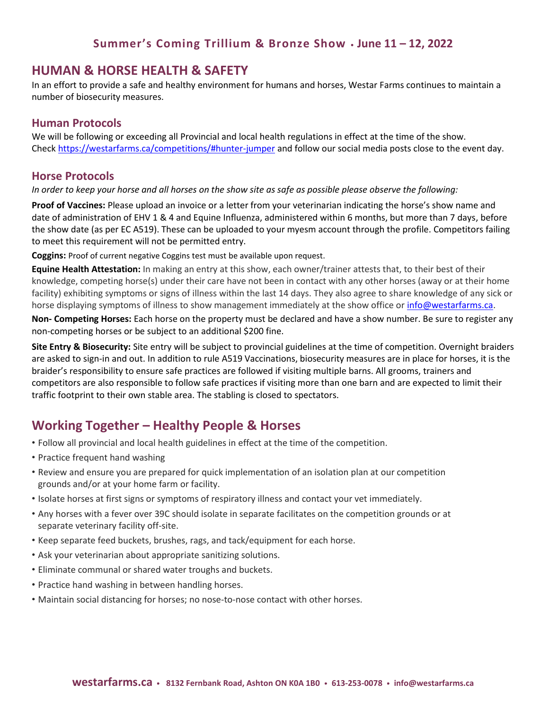### **HUMAN & HORSE HEALTH & SAFETY**

In an effort to provide a safe and healthy environment for humans and horses, Westar Farms continues to maintain a number of biosecurity measures.

### **Human Protocols**

We will be following or exceeding all Provincial and local health regulations in effect at the time of the show. Chec[k https://westarfarms.ca/competitions/#hunter-jumper](https://westarfarms.ca/competitions/#hunter-jumper) and follow our social media posts close to the event day.

### **Horse Protocols**

*In order to keep your horse and all horses on the show site as safe as possible please observe the following:*

**Proof of Vaccines:** Please upload an invoice or a letter from your veterinarian indicating the horse's show name and date of administration of EHV 1 & 4 and Equine Influenza, administered within 6 months, but more than 7 days, before the show date (as per EC A519). These can be uploaded to your myesm account through the profile. Competitors failing to meet this requirement will not be permitted entry.

**Coggins:** Proof of current negative Coggins test must be available upon request.

**Equine Health Attestation:** In making an entry at this show, each owner/trainer attests that, to their best of their knowledge, competing horse(s) under their care have not been in contact with any other horses (away or at their home facility) exhibiting symptoms or signs of illness within the last 14 days. They also agree to share knowledge of any sick or horse displaying symptoms of illness to show management immediately at the show office or [info@westarfarms.ca.](mailto:info@westarfarms.ca)

**Non- Competing Horses:** Each horse on the property must be declared and have a show number. Be sure to register any non-competing horses or be subject to an additional \$200 fine.

**Site Entry & Biosecurity:** Site entry will be subject to provincial guidelines at the time of competition. Overnight braiders are asked to sign-in and out. In addition to rule A519 Vaccinations, biosecurity measures are in place for horses, it is the braider's responsibility to ensure safe practices are followed if visiting multiple barns. All grooms, trainers and competitors are also responsible to follow safe practices if visiting more than one barn and are expected to limit their traffic footprint to their own stable area. The stabling is closed to spectators.

## **Working Together – Healthy People & Horses**

- Follow all provincial and local health guidelines in effect at the time of the competition.
- Practice frequent hand washing
- Review and ensure you are prepared for quick implementation of an isolation plan at our competition grounds and/or at your home farm or facility.
- Isolate horses at first signs or symptoms of respiratory illness and contact your vet immediately.
- Any horses with a fever over 39C should isolate in separate facilitates on the competition grounds or at separate veterinary facility off-site.
- Keep separate feed buckets, brushes, rags, and tack/equipment for each horse.
- Ask your veterinarian about appropriate sanitizing solutions.
- Eliminate communal or shared water troughs and buckets.
- Practice hand washing in between handling horses.
- Maintain social distancing for horses; no nose-to-nose contact with other horses.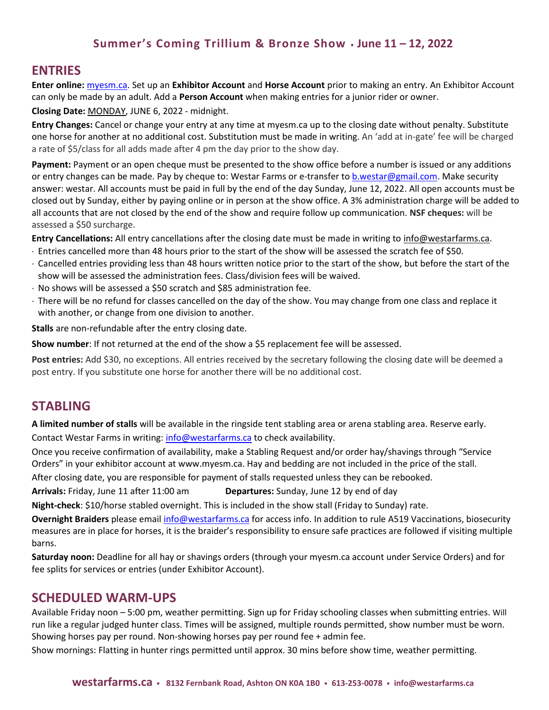### **ENTRIES**

**Enter online:** [myesm.ca.](https://www.myesm.ca/) Set up an **Exhibitor Account** and **Horse Account** prior to making an entry. An Exhibitor Account can only be made by an adult. Add a **Person Account** when making entries for a junior rider or owner.

#### **Closing Date:** MONDAY, JUNE 6, 2022 - midnight.

**Entry Changes:** Cancel or change your entry at any time at myesm.ca up to the closing date without penalty. Substitute one horse for another at no additional cost. Substitution must be made in writing. An 'add at in-gate' fee will be charged a rate of \$5/class for all adds made after 4 pm the day prior to the show day.

**Payment:** Payment or an open cheque must be presented to the show office before a number is issued or any additions or entry changes can be made. Pay by cheque to: Westar Farms or e-transfer to [b.westar@gmail.com.](mailto:b.westar@gmail.com) Make security answer: westar. All accounts must be paid in full by the end of the day Sunday, June 12, 2022. All open accounts must be closed out by Sunday, either by paying online or in person at the show office. A 3% administration charge will be added to all accounts that are not closed by the end of the show and require follow up communication. **NSF cheques:** will be assessed a \$50 surcharge.

**Entry Cancellations:** All entry cancellations after the closing date must be made in writing to [info@westarfarms.ca.](mailto:info@westarfarms.ca)

- Entries cancelled more than 48 hours prior to the start of the show will be assessed the scratch fee of \$50.
- Cancelled entries providing less than 48 hours written notice prior to the start of the show, but before the start of the show will be assessed the administration fees. Class/division fees will be waived.
- No shows will be assessed a \$50 scratch and \$85 administration fee.
- There will be no refund for classes cancelled on the day of the show. You may change from one class and replace it with another, or change from one division to another.

**Stalls** are non-refundable after the entry closing date.

**Show number**: If not returned at the end of the show a \$5 replacement fee will be assessed.

**Post entries:** Add \$30, no exceptions. All entries received by the secretary following the closing date will be deemed a post entry. If you substitute one horse for another there will be no additional cost.

### **STABLING**

**A limited number of stalls** will be available in the ringside tent stabling area or arena stabling area. Reserve early. Contact Westar Farms in writing: [info@westarfarms.ca](mailto:entries@westarfarms.ca) to check availability.

Once you receive confirmation of availability, make a Stabling Request and/or order hay/shavings through "Service Orders" in your exhibitor account at www.myesm.ca. Hay and bedding are not included in the price of the stall.

After closing date, you are responsible for payment of stalls requested unless they can be rebooked.

**Arrivals:** Friday, June 11 after 11:00 am **Departures:** Sunday, June 12 by end of day

**Night-check**: \$10/horse stabled overnight. This is included in the show stall (Friday to Sunday) rate.

**Overnight Braiders** please emai[l info@westarfarms.ca](mailto:info@westarfarms.ca) for access info. In addition to rule A519 Vaccinations, biosecurity measures are in place for horses, it is the braider's responsibility to ensure safe practices are followed if visiting multiple barns.

**Saturday noon:** Deadline for all hay or shavings orders (through your myesm.ca account under Service Orders) and for fee splits for services or entries (under Exhibitor Account).

### **SCHEDULED WARM-UPS**

Available Friday noon – 5:00 pm, weather permitting. Sign up for Friday schooling classes when submitting entries. Will run like a regular judged hunter class. Times will be assigned, multiple rounds permitted, show number must be worn. Showing horses pay per round. Non-showing horses pay per round fee + admin fee.

Show mornings: Flatting in hunter rings permitted until approx. 30 mins before show time, weather permitting.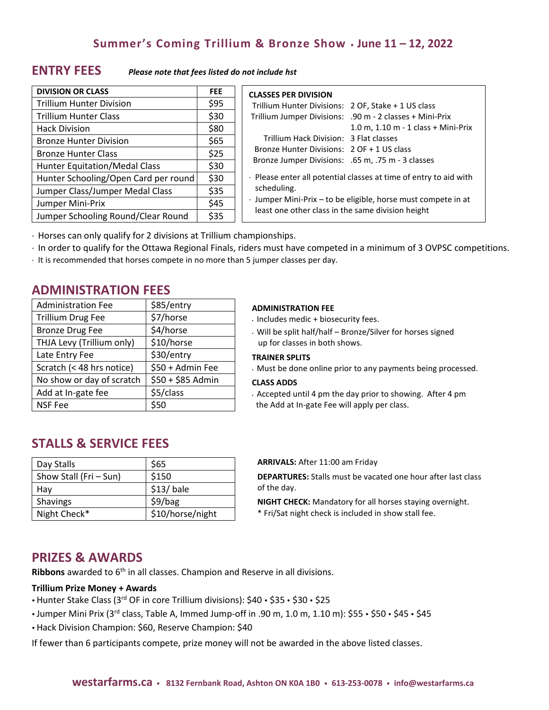### **ENTRY FEES** *Please note that fees listed do not include hst*

| <b>DIVISION OR CLASS</b>             | <b>FEE</b> |
|--------------------------------------|------------|
| <b>Trillium Hunter Division</b>      | \$95       |
| <b>Trillium Hunter Class</b>         | \$30       |
| <b>Hack Division</b>                 | \$80       |
| <b>Bronze Hunter Division</b>        | \$65       |
| <b>Bronze Hunter Class</b>           | \$25       |
| <b>Hunter Equitation/Medal Class</b> | \$30       |
| Hunter Schooling/Open Card per round | \$30       |
| Jumper Class/Jumper Medal Class      | \$35       |
| Jumper Mini-Prix                     | \$45       |
| Jumper Schooling Round/Clear Round   | \$35       |

| <b>CLASSES PER DIVISION</b>                                                            |                                                          |  |
|----------------------------------------------------------------------------------------|----------------------------------------------------------|--|
| Trillium Hunter Divisions: 2 OF, Stake + 1 US class                                    |                                                          |  |
|                                                                                        | Trillium Jumper Divisions: .90 m - 2 classes + Mini-Prix |  |
|                                                                                        | 1.0 m, 1.10 m - 1 class + Mini-Prix                      |  |
| Trillium Hack Division: 3 Flat classes                                                 |                                                          |  |
| Bronze Hunter Divisions: 2 OF + 1 US class                                             |                                                          |  |
| Bronze Jumper Divisions: .65 m, .75 m - 3 classes                                      |                                                          |  |
| $\cdot$ Please enter all potential classes at time of entry to aid with<br>scheduling. |                                                          |  |
| · Jumper Mini-Prix - to be eligible, horse must compete in at                          |                                                          |  |
| least one other class in the same division height                                      |                                                          |  |

Horses can only qualify for 2 divisions at Trillium championships.

- In order to qualify for the Ottawa Regional Finals, riders must have competed in a minimum of 3 OVPSC competitions.
- $\cdot$  It is recommended that horses compete in no more than 5 jumper classes per day.

### **ADMINISTRATION FEES**

| <b>Administration Fee</b> | \$85/entry        |
|---------------------------|-------------------|
| <b>Trillium Drug Fee</b>  | \$7/horse         |
| <b>Bronze Drug Fee</b>    | \$4/horse         |
| THJA Levy (Trillium only) | \$10/horse        |
| Late Entry Fee            | \$30/entry        |
| Scratch (< 48 hrs notice) | \$50 + Admin Fee  |
| No show or day of scratch | \$50 + \$85 Admin |
| Add at In-gate fee        | \$5/class         |
| <b>NSF Fee</b>            | \$50              |

**STALLS & SERVICE FEES**

| Day Stalls             | \$65             |
|------------------------|------------------|
| Show Stall (Fri - Sun) | \$150            |
| Hav                    | $$13/$ bale      |
| Shavings               | \$9/bag          |
| Night Check*           | \$10/horse/night |

#### **ADMINISTRATION FEE**

- Includes medic + biosecurity fees.
- Will be split half/half Bronze/Silver for horses signed up for classes in both shows.

#### **TRAINER SPLITS**

Must be done online prior to any payments being processed.

#### **CLASS ADDS**

 Accepted until 4 pm the day prior to showing. After 4 pm the Add at In-gate Fee will apply per class.

#### **ARRIVALS:** After 11:00 am Friday

**DEPARTURES:** Stalls must be vacated one hour after last class of the day.

**NIGHT CHECK:** Mandatory for all horses staying overnight.

\* Fri/Sat night check is included in show stall fee.

### **PRIZES & AWARDS**

Ribbons awarded to 6<sup>th</sup> in all classes. Champion and Reserve in all divisions.

#### **Trillium Prize Money + Awards**

- Hunter Stake Class (3<sup>rd</sup> OF in core Trillium divisions): \$40 \$35 \$30 \$25
- Jumper Mini Prix (3rd class, Table A, Immed Jump-off in .90 m, 1.0 m, 1.10 m): \$55 · \$50 · \$45 · \$45
- Hack Division Champion: \$60, Reserve Champion: \$40

If fewer than 6 participants compete, prize money will not be awarded in the above listed classes.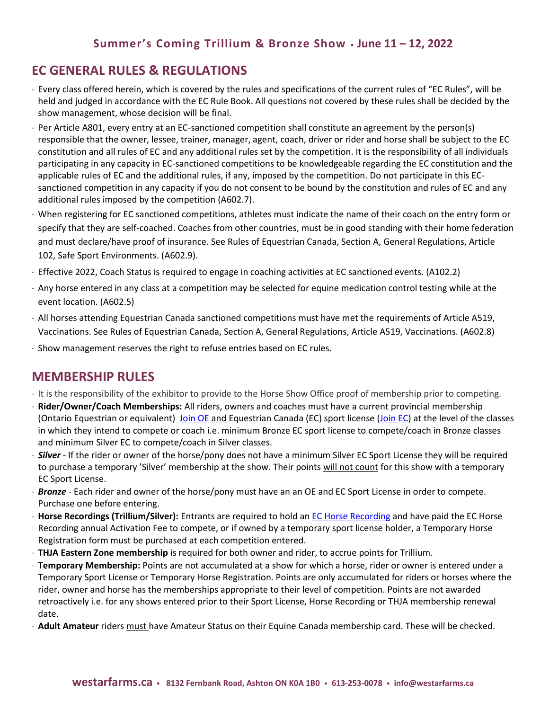## **EC GENERAL RULES & REGULATIONS**

- Every class offered herein, which is covered by the rules and specifications of the current rules of "EC Rules", will be held and judged in accordance with the EC Rule Book. All questions not covered by these rules shall be decided by the show management, whose decision will be final.
- Per Article A801, every entry at an EC-sanctioned competition shall constitute an agreement by the person(s) responsible that the owner, lessee, trainer, manager, agent, coach, driver or rider and horse shall be subject to the EC constitution and all rules of EC and any additional rules set by the competition. It is the responsibility of all individuals participating in any capacity in EC-sanctioned competitions to be knowledgeable regarding the EC constitution and the applicable rules of EC and the additional rules, if any, imposed by the competition. Do not participate in this ECsanctioned competition in any capacity if you do not consent to be bound by the constitution and rules of EC and any additional rules imposed by the competition (A602.7).
- When registering for EC sanctioned competitions, athletes must indicate the name of their coach on the entry form or specify that they are self-coached. Coaches from other countries, must be in good standing with their home federation and must declare/have proof of insurance. See Rules of Equestrian Canada, Section A, General Regulations, Article 102, Safe Sport Environments. (A602.9).
- Effective 2022, Coach Status is required to engage in coaching activities at EC sanctioned events. (A102.2)
- Any horse entered in any class at a competition may be selected for equine medication control testing while at the event location. (A602.5)
- All horses attending Equestrian Canada sanctioned competitions must have met the requirements of Article A519, Vaccinations. See Rules of Equestrian Canada, Section A, General Regulations, Article A519, Vaccinations. (A602.8)
- $\cdot$  Show management reserves the right to refuse entries based on EC rules.

## **MEMBERSHIP RULES**

- It is the responsibility of the exhibitor to provide to the Horse Show Office proof of membership prior to competing.
- **Rider/Owner/Coach Memberships:** All riders, owners and coaches must have a current provincial membership (Ontario Equestrian or equivalent) [Join OE](https://ontarioequestrian.ca/membership/) and Equestrian Canada (EC) sport license [\(Join EC\)](https://www.equestrian.ca/programs-services/licences/join-renew) at the level of the classes in which they intend to compete or coach i.e. minimum Bronze EC sport license to compete/coach in Bronze classes and minimum Silver EC to compete/coach in Silver classes.
- *Silver*  If the rider or owner of the horse/pony does not have a minimum Silver EC Sport License they will be required to purchase a temporary 'Silver' membership at the show. Their points will not count for this show with a temporary EC Sport License.
- *Bronze*  Each rider and owner of the horse/pony must have an an OE and EC Sport License in order to compete. Purchase one before entering.
- **Horse Recordings (Trillium/Silver):** Entrants are required to hold an [EC Horse Recording](https://www.equestrian.ca/programs-services/horseid) and have paid the EC Horse Recording annual Activation Fee to compete, or if owned by a temporary sport license holder, a Temporary Horse Registration form must be purchased at each competition entered.
- **THJA Eastern Zone membership** is required for both owner and rider, to accrue points for Trillium.
- **Temporary Membership:** Points are not accumulated at a show for which a horse, rider or owner is entered under a Temporary Sport License or Temporary Horse Registration. Points are only accumulated for riders or horses where the rider, owner and horse has the memberships appropriate to their level of competition. Points are not awarded retroactively i.e. for any shows entered prior to their Sport License, Horse Recording or THJA membership renewal date.
- **Adult Amateur** riders must have Amateur Status on their Equine Canada membership card. These will be checked.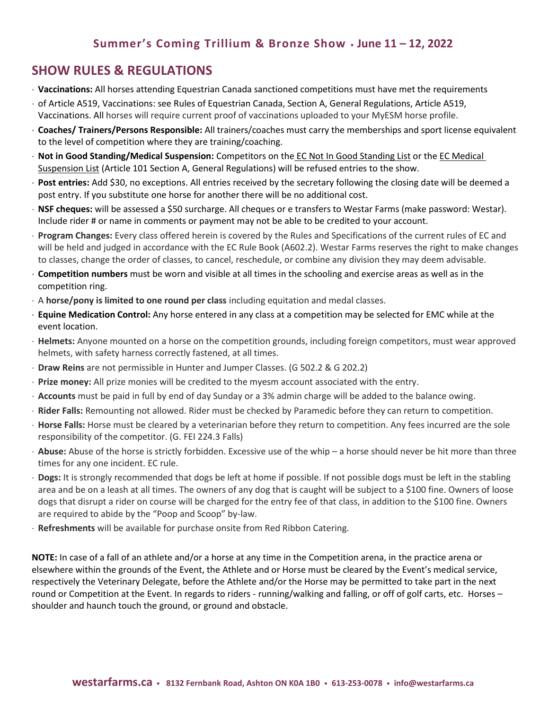### **SHOW RULES & REGULATIONS**

- **Vaccinations:** All horses attending Equestrian Canada sanctioned competitions must have met the requirements
- of Article A519, Vaccinations: see Rules of Equestrian Canada, Section A, General Regulations, Article A519, Vaccinations. All horses will require current proof of vaccinations uploaded to your MyESM horse profile.
- **Coaches/ Trainers/Persons Responsible:** All trainers/coaches must carry the memberships and sport license equivalent to the level of competition where they are training/coaching.
- **Not in Good Standing/Medical Suspension:** Competitors on the EC Not In Good Standing List or the EC Medical Suspension List (Article 101 Section A, General Regulations) will be refused entries to the show.
- **Post entries:** Add \$30, no exceptions. All entries received by the secretary following the closing date will be deemed a post entry. If you substitute one horse for another there will be no additional cost.
- **NSF cheques:** will be assessed a \$50 surcharge. All cheques or e transfers to Westar Farms (make password: Westar). Include rider # or name in comments or payment may not be able to be credited to your account.
- **Program Changes:** Every class offered herein is covered by the Rules and Specifications of the current rules of EC and will be held and judged in accordance with the EC Rule Book (A602.2). Westar Farms reserves the right to make changes to classes, change the order of classes, to cancel, reschedule, or combine any division they may deem advisable.
- **Competition numbers** must be worn and visible at all times in the schooling and exercise areas as well as in the competition ring.
- A **horse/pony is limited to one round per class** including equitation and medal classes.
- **Equine Medication Control:** Any horse entered in any class at a competition may be selected for EMC while at the event location.
- **Helmets:** Anyone mounted on a horse on the competition grounds, including foreign competitors, must wear approved helmets, with safety harness correctly fastened, at all times.
- **Draw Reins** are not permissible in Hunter and Jumper Classes. (G 502.2 & G 202.2)
- **Prize money:** All prize monies will be credited to the myesm account associated with the entry.
- **Accounts** must be paid in full by end of day Sunday or a 3% admin charge will be added to the balance owing.
- **Rider Falls:** Remounting not allowed. Rider must be checked by Paramedic before they can return to competition.
- **Horse Falls:** Horse must be cleared by a veterinarian before they return to competition. Any fees incurred are the sole responsibility of the competitor. (G. FEI 224.3 Falls)
- **Abuse:** Abuse of the horse is strictly forbidden. Excessive use of the whip a horse should never be hit more than three times for any one incident. EC rule.
- **Dogs:** It is strongly recommended that dogs be left at home if possible. If not possible dogs must be left in the stabling area and be on a leash at all times. The owners of any dog that is caught will be subject to a \$100 fine. Owners of loose dogs that disrupt a rider on course will be charged for the entry fee of that class, in addition to the \$100 fine. Owners are required to abide by the "Poop and Scoop" by-law.
- **Refreshments** will be available for purchase onsite from Red Ribbon Catering.

**NOTE:** In case of a fall of an athlete and/or a horse at any time in the Competition arena, in the practice arena or elsewhere within the grounds of the Event, the Athlete and or Horse must be cleared by the Event's medical service, respectively the Veterinary Delegate, before the Athlete and/or the Horse may be permitted to take part in the next round or Competition at the Event. In regards to riders - running/walking and falling, or off of golf carts, etc. Horses – shoulder and haunch touch the ground, or ground and obstacle.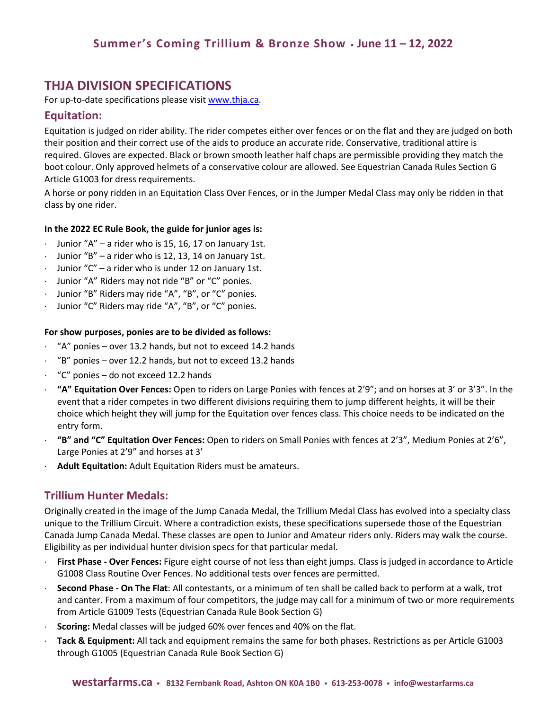### **THJA DIVISION SPECIFICATIONS**

For up-to-date specifications please visit [www.thja.ca.](http://www.thja.ca/)

### **Equitation:**

Equitation is judged on rider ability. The rider competes either over fences or on the flat and they are judged on both their position and their correct use of the aids to produce an accurate ride. Conservative, traditional attire is required. Gloves are expected. Black or brown smooth leather half chaps are permissible providing they match the boot colour. Only approved helmets of a conservative colour are allowed. See Equestrian Canada Rules Section G Article G1003 for dress requirements.

A horse or pony ridden in an Equitation Class Over Fences, or in the Jumper Medal Class may only be ridden in that class by one rider.

#### **In the 2022 EC Rule Book, the guide for junior ages is:**

- $\cdot$  Junior "A" a rider who is 15, 16, 17 on January 1st.
- Junior "B" a rider who is 12, 13, 14 on January 1st.
- $\cdot$  Junior "C" a rider who is under 12 on January 1st.
- Junior "A" Riders may not ride "B" or "C" ponies.
- Junior "B" Riders may ride "A", "B", or "C" ponies.
- Junior "C" Riders may ride "A", "B", or "C" ponies.

#### **For show purposes, ponies are to be divided as follows:**

- "A" ponies over 13.2 hands, but not to exceed 14.2 hands
- "B" ponies over 12.2 hands, but not to exceed 13.2 hands
- "C" ponies do not exceed 12.2 hands
- **"A" Equitation Over Fences:** Open to riders on Large Ponies with fences at 2'9"; and on horses at 3' or 3'3". In the event that a rider competes in two different divisions requiring them to jump different heights, it will be their choice which height they will jump for the Equitation over fences class. This choice needs to be indicated on the entry form.
- **"B" and "C" Equitation Over Fences:** Open to riders on Small Ponies with fences at 2'3", Medium Ponies at 2'6", Large Ponies at 2'9" and horses at 3'
- **Adult Equitation:** Adult Equitation Riders must be amateurs.

#### **Trillium Hunter Medals:**

Originally created in the image of the Jump Canada Medal, the Trillium Medal Class has evolved into a specialty class unique to the Trillium Circuit. Where a contradiction exists, these specifications supersede those of the Equestrian Canada Jump Canada Medal. These classes are open to Junior and Amateur riders only. Riders may walk the course. Eligibility as per individual hunter division specs for that particular medal.

- **First Phase - Over Fences:** Figure eight course of not less than eight jumps. Class is judged in accordance to Article G1008 Class Routine Over Fences. No additional tests over fences are permitted.
- **Second Phase - On The Flat**: All contestants, or a minimum of ten shall be called back to perform at a walk, trot and canter. From a maximum of four competitors, the judge may call for a minimum of two or more requirements from Article G1009 Tests (Equestrian Canada Rule Book Section G)
- **Scoring:** Medal classes will be judged 60% over fences and 40% on the flat.
- **Tack & Equipment:** All tack and equipment remains the same for both phases. Restrictions as per Article G1003 through G1005 (Equestrian Canada Rule Book Section G)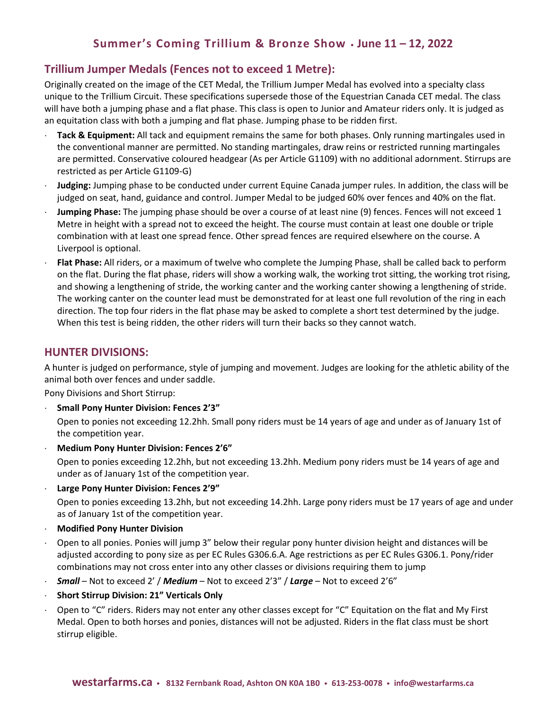### **Trillium Jumper Medals (Fences not to exceed 1 Metre):**

Originally created on the image of the CET Medal, the Trillium Jumper Medal has evolved into a specialty class unique to the Trillium Circuit. These specifications supersede those of the Equestrian Canada CET medal. The class will have both a jumping phase and a flat phase. This class is open to Junior and Amateur riders only. It is judged as an equitation class with both a jumping and flat phase. Jumping phase to be ridden first.

- **Tack & Equipment:** All tack and equipment remains the same for both phases. Only running martingales used in the conventional manner are permitted. No standing martingales, draw reins or restricted running martingales are permitted. Conservative coloured headgear (As per Article G1109) with no additional adornment. Stirrups are restricted as per Article G1109-G)
- **Judging:** Jumping phase to be conducted under current Equine Canada jumper rules. In addition, the class will be judged on seat, hand, guidance and control. Jumper Medal to be judged 60% over fences and 40% on the flat.
- **Jumping Phase:** The jumping phase should be over a course of at least nine (9) fences. Fences will not exceed 1 Metre in height with a spread not to exceed the height. The course must contain at least one double or triple combination with at least one spread fence. Other spread fences are required elsewhere on the course. A Liverpool is optional.
- **Flat Phase:** All riders, or a maximum of twelve who complete the Jumping Phase, shall be called back to perform on the flat. During the flat phase, riders will show a working walk, the working trot sitting, the working trot rising, and showing a lengthening of stride, the working canter and the working canter showing a lengthening of stride. The working canter on the counter lead must be demonstrated for at least one full revolution of the ring in each direction. The top four riders in the flat phase may be asked to complete a short test determined by the judge. When this test is being ridden, the other riders will turn their backs so they cannot watch.

### **HUNTER DIVISIONS:**

A hunter is judged on performance, style of jumping and movement. Judges are looking for the athletic ability of the animal both over fences and under saddle.

Pony Divisions and Short Stirrup:

**Small Pony Hunter Division: Fences 2'3"**

Open to ponies not exceeding 12.2hh. Small pony riders must be 14 years of age and under as of January 1st of the competition year.

**Medium Pony Hunter Division: Fences 2'6"**

Open to ponies exceeding 12.2hh, but not exceeding 13.2hh. Medium pony riders must be 14 years of age and under as of January 1st of the competition year.

**Large Pony Hunter Division: Fences 2'9"**

Open to ponies exceeding 13.2hh, but not exceeding 14.2hh. Large pony riders must be 17 years of age and under as of January 1st of the competition year.

- **Modified Pony Hunter Division**
- Open to all ponies. Ponies will jump 3" below their regular pony hunter division height and distances will be adjusted according to pony size as per EC Rules G306.6.A. Age restrictions as per EC Rules G306.1. Pony/rider combinations may not cross enter into any other classes or divisions requiring them to jump
- *Small* Not to exceed 2' / *Medium* Not to exceed 2'3" / *Large* Not to exceed 2'6"
- **Short Stirrup Division: 21" Verticals Only**
- Open to "C" riders. Riders may not enter any other classes except for "C" Equitation on the flat and My First Medal. Open to both horses and ponies, distances will not be adjusted. Riders in the flat class must be short stirrup eligible.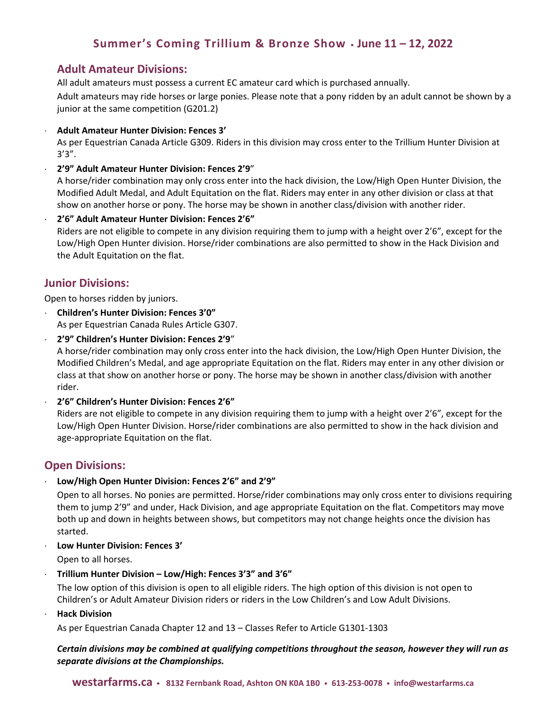### **Adult Amateur Divisions:**

All adult amateurs must possess a current EC amateur card which is purchased annually.

Adult amateurs may ride horses or large ponies. Please note that a pony ridden by an adult cannot be shown by a junior at the same competition (G201.2)

**Adult Amateur Hunter Division: Fences 3'**

As per Equestrian Canada Article G309. Riders in this division may cross enter to the Trillium Hunter Division at  $3'3''$ .

**2'9" Adult Amateur Hunter Division: Fences 2'9**"

A horse/rider combination may only cross enter into the hack division, the Low/High Open Hunter Division, the Modified Adult Medal, and Adult Equitation on the flat. Riders may enter in any other division or class at that show on another horse or pony. The horse may be shown in another class/division with another rider.

**2'6" Adult Amateur Hunter Division: Fences 2'6"**

Riders are not eligible to compete in any division requiring them to jump with a height over 2'6", except for the Low/High Open Hunter division. Horse/rider combinations are also permitted to show in the Hack Division and the Adult Equitation on the flat.

### **Junior Divisions:**

Open to horses ridden by juniors.

 **Children's Hunter Division: Fences 3'0"** As per Equestrian Canada Rules Article G307.

 **2'9" Children's Hunter Division: Fences 2'9**" A horse/rider combination may only cross enter into the hack division, the Low/High Open Hunter Division, the Modified Children's Medal, and age appropriate Equitation on the flat. Riders may enter in any other division or class at that show on another horse or pony. The horse may be shown in another class/division with another rider.

**2'6" Children's Hunter Division: Fences 2'6"**

Riders are not eligible to compete in any division requiring them to jump with a height over 2'6", except for the Low/High Open Hunter Division. Horse/rider combinations are also permitted to show in the hack division and age-appropriate Equitation on the flat.

### **Open Divisions:**

**Low/High Open Hunter Division: Fences 2'6" and 2'9"** 

Open to all horses. No ponies are permitted. Horse/rider combinations may only cross enter to divisions requiring them to jump 2'9" and under, Hack Division, and age appropriate Equitation on the flat. Competitors may move both up and down in heights between shows, but competitors may not change heights once the division has started.

**Low Hunter Division: Fences 3'** 

Open to all horses.

**Trillium Hunter Division – Low/High: Fences 3'3" and 3'6"** 

The low option of this division is open to all eligible riders. The high option of this division is not open to Children's or Adult Amateur Division riders or riders in the Low Children's and Low Adult Divisions.

**Hack Division**

As per Equestrian Canada Chapter 12 and 13 – Classes Refer to Article G1301-1303

#### *Certain divisions may be combined at qualifying competitions throughout the season, however they will run as separate divisions at the Championships.*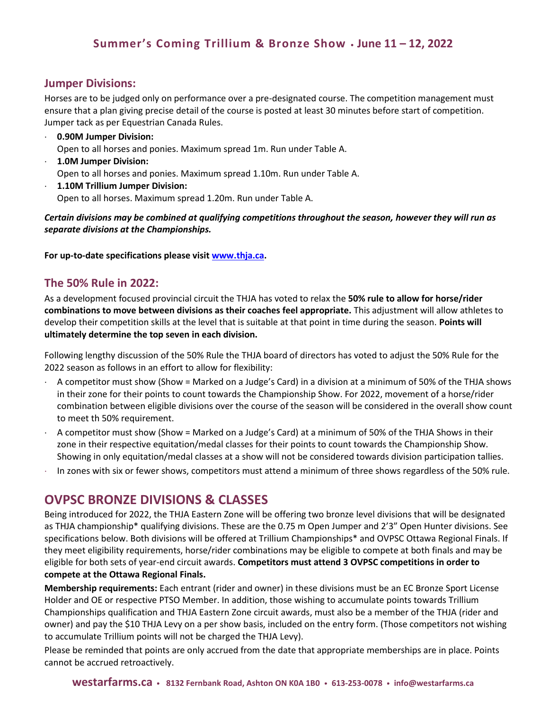### **Jumper Divisions:**

Horses are to be judged only on performance over a pre-designated course. The competition management must ensure that a plan giving precise detail of the course is posted at least 30 minutes before start of competition. Jumper tack as per Equestrian Canada Rules.

- **0.90M Jumper Division:** Open to all horses and ponies. Maximum spread 1m. Run under Table A.
- **1.0M Jumper Division:** Open to all horses and ponies. Maximum spread 1.10m. Run under Table A.
- **1.10M Trillium Jumper Division:** Open to all horses. Maximum spread 1.20m. Run under Table A.

*Certain divisions may be combined at qualifying competitions throughout the season, however they will run as separate divisions at the Championships.* 

**For up-to-date specifications please visit [www.thja.ca.](http://www.thja.ca/)** 

### **The 50% Rule in 2022:**

As a development focused provincial circuit the THJA has voted to relax the **50% rule to allow for horse/rider combinations to move between divisions as their coaches feel appropriate.** This adjustment will allow athletes to develop their competition skills at the level that is suitable at that point in time during the season. **Points will ultimately determine the top seven in each division.** 

Following lengthy discussion of the 50% Rule the THJA board of directors has voted to adjust the 50% Rule for the 2022 season as follows in an effort to allow for flexibility:

- A competitor must show (Show = Marked on a Judge's Card) in a division at a minimum of 50% of the THJA shows in their zone for their points to count towards the Championship Show. For 2022, movement of a horse/rider combination between eligible divisions over the course of the season will be considered in the overall show count to meet th 50% requirement.
- A competitor must show (Show = Marked on a Judge's Card) at a minimum of 50% of the THJA Shows in their zone in their respective equitation/medal classes for their points to count towards the Championship Show. Showing in only equitation/medal classes at a show will not be considered towards division participation tallies.
- In zones with six or fewer shows, competitors must attend a minimum of three shows regardless of the 50% rule.

### **OVPSC BRONZE DIVISIONS & CLASSES**

Being introduced for 2022, the THJA Eastern Zone will be offering two bronze level divisions that will be designated as THJA championship\* qualifying divisions. These are the 0.75 m Open Jumper and 2'3" Open Hunter divisions. See specifications below. Both divisions will be offered at Trillium Championships\* and OVPSC Ottawa Regional Finals. If they meet eligibility requirements, horse/rider combinations may be eligible to compete at both finals and may be eligible for both sets of year-end circuit awards. **Competitors must attend 3 OVPSC competitions in order to compete at the Ottawa Regional Finals.** 

**Membership requirements:** Each entrant (rider and owner) in these divisions must be an EC Bronze Sport License Holder and OE or respective PTSO Member. In addition, those wishing to accumulate points towards Trillium Championships qualification and THJA Eastern Zone circuit awards, must also be a member of the THJA (rider and owner) and pay the \$10 THJA Levy on a per show basis, included on the entry form. (Those competitors not wishing to accumulate Trillium points will not be charged the THJA Levy).

Please be reminded that points are only accrued from the date that appropriate memberships are in place. Points cannot be accrued retroactively.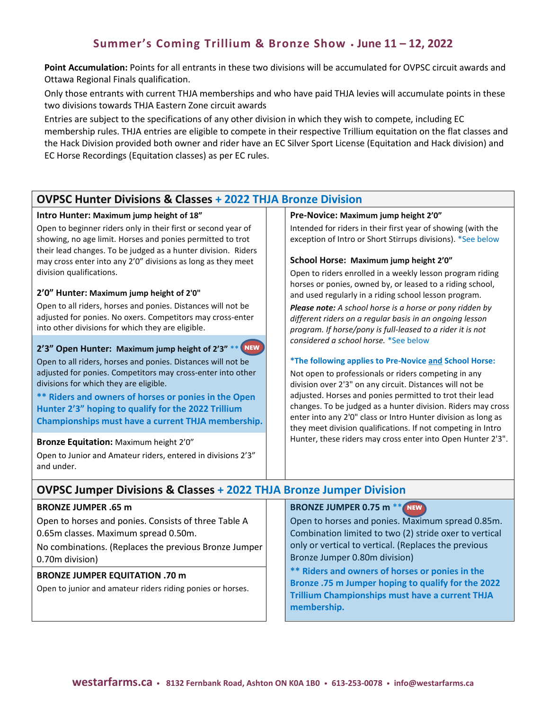**Point Accumulation:** Points for all entrants in these two divisions will be accumulated for OVPSC circuit awards and Ottawa Regional Finals qualification.

Only those entrants with current THJA memberships and who have paid THJA levies will accumulate points in these two divisions towards THJA Eastern Zone circuit awards

Entries are subject to the specifications of any other division in which they wish to compete, including EC membership rules. THJA entries are eligible to compete in their respective Trillium equitation on the flat classes and the Hack Division provided both owner and rider have an EC Silver Sport License (Equitation and Hack division) and EC Horse Recordings (Equitation classes) as per EC rules.

### **OVPSC Hunter Divisions & Classes + 2022 THJA Bronze Division**

#### **Intro Hunter: Maximum jump height of 18"**

Open to beginner riders only in their first or second year of showing, no age limit. Horses and ponies permitted to trot their lead changes. To be judged as a hunter division. Riders may cross enter into any 2'0" divisions as long as they meet division qualifications.

#### **2'0" Hunter: Maximum jump height of 2'0"**

Open to all riders, horses and ponies. Distances will not be adjusted for ponies. No oxers. Competitors may cross-enter into other divisions for which they are eligible.

#### **2'3" Open Hunter: Maximum jump height of 2'3"** \*\* NEW

Open to all riders, horses and ponies. Distances will not be adjusted for ponies. Competitors may cross-enter into other divisions for which they are eligible.

**\*\* Riders and owners of horses or ponies in the Open Hunter 2'3" hoping to qualify for the 2022 Trillium Championships must have a current THJA membership.**

#### **Bronze Equitation:** Maximum height 2'0"

Open to Junior and Amateur riders, entered in divisions 2'3" and under.

#### **Pre-Novice: Maximum jump height 2'0"**

Intended for riders in their first year of showing (with the exception of Intro or Short Stirrups divisions). \*See below

#### **School Horse: Maximum jump height 2'0"**

Open to riders enrolled in a weekly lesson program riding horses or ponies, owned by, or leased to a riding school, and used regularly in a riding school lesson program.

*Please note: A school horse is a horse or pony ridden by different riders on a regular basis in an ongoing lesson program. If horse/pony is full-leased to a rider it is not considered a school horse.* \*See below

#### **\*The following applies to Pre-Novice and School Horse:**

Not open to professionals or riders competing in any division over 2'3" on any circuit. Distances will not be adjusted. Horses and ponies permitted to trot their lead changes. To be judged as a hunter division. Riders may cross enter into any 2'0" class or Intro Hunter division as long as they meet division qualifications. If not competing in Intro Hunter, these riders may cross enter into Open Hunter 2'3".

### **OVPSC Jumper Divisions & Classes + 2022 THJA Bronze Jumper Division**

#### **BRONZE JUMPER .65 m**

Open to horses and ponies. Consists of three Table A 0.65m classes. Maximum spread 0.50m.

No combinations. (Replaces the previous Bronze Jumper 0.70m division)

#### **BRONZE JUMPER EQUITATION .70 m**

Open to junior and amateur riders riding ponies or horses.

**BRONZE JUMPER 0.75 m** \*\* NEW

Open to horses and ponies. Maximum spread 0.85m. Combination limited to two (2) stride oxer to vertical only or vertical to vertical. (Replaces the previous Bronze Jumper 0.80m division)

**\*\* Riders and owners of horses or ponies in the Bronze .75 m Jumper hoping to qualify for the 2022 Trillium Championships must have a current THJA membership.**